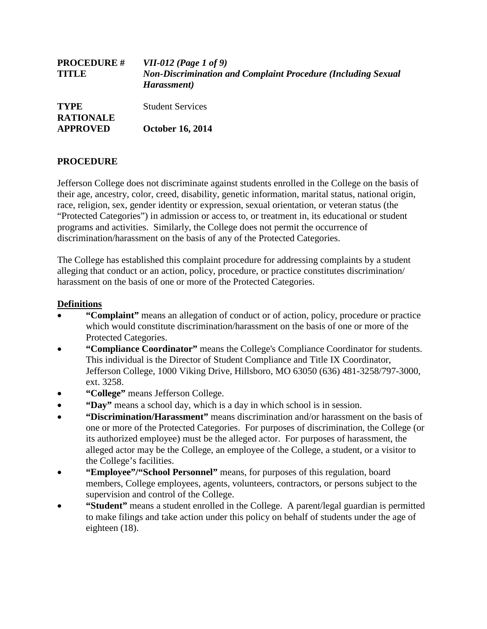| <b>PROCEDURE #</b><br><b>TITLE</b>                 | <i>VII-012 (Page 1 of 9)</i><br><b>Non-Discrimination and Complaint Procedure (Including Sexual</b><br>Harassment) |
|----------------------------------------------------|--------------------------------------------------------------------------------------------------------------------|
| <b>TYPE</b><br><b>RATIONALE</b><br><b>APPROVED</b> | <b>Student Services</b>                                                                                            |
|                                                    | <b>October 16, 2014</b>                                                                                            |

# **PROCEDURE**

Jefferson College does not discriminate against students enrolled in the College on the basis of their age, ancestry, color, creed, disability, genetic information, marital status, national origin, race, religion, sex, gender identity or expression, sexual orientation, or veteran status (the "Protected Categories") in admission or access to, or treatment in, its educational or student programs and activities. Similarly, the College does not permit the occurrence of discrimination/harassment on the basis of any of the Protected Categories.

The College has established this complaint procedure for addressing complaints by a student alleging that conduct or an action, policy, procedure, or practice constitutes discrimination/ harassment on the basis of one or more of the Protected Categories.

## **Definitions**

- **"Complaint"** means an allegation of conduct or of action, policy, procedure or practice which would constitute discrimination/harassment on the basis of one or more of the Protected Categories.
- **"Compliance Coordinator"** means the College's Compliance Coordinator for students. This individual is the Director of Student Compliance and Title IX Coordinator, Jefferson College, 1000 Viking Drive, Hillsboro, MO 63050 (636) 481-3258/797-3000, ext. 3258.
- **"College"** means Jefferson College.
- **"Day"** means a school day, which is a day in which school is in session.
- **"Discrimination/Harassment"** means discrimination and/or harassment on the basis of one or more of the Protected Categories. For purposes of discrimination, the College (or its authorized employee) must be the alleged actor. For purposes of harassment, the alleged actor may be the College, an employee of the College, a student, or a visitor to the College's facilities.
- **"Employee"/"School Personnel"** means, for purposes of this regulation, board members, College employees, agents, volunteers, contractors, or persons subject to the supervision and control of the College.
- **"Student"** means a student enrolled in the College. A parent/legal guardian is permitted to make filings and take action under this policy on behalf of students under the age of eighteen (18).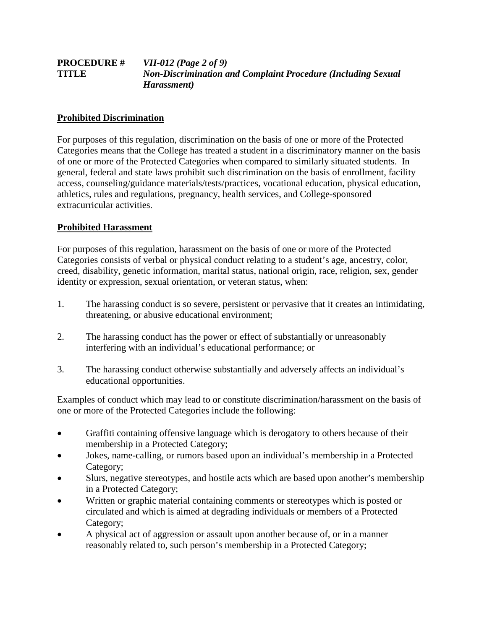#### **PROCEDURE #** *VII-012 (Page 2 of 9)* **TITLE** *Non-Discrimination and Complaint Procedure (Including Sexual Harassment)*

## **Prohibited Discrimination**

For purposes of this regulation, discrimination on the basis of one or more of the Protected Categories means that the College has treated a student in a discriminatory manner on the basis of one or more of the Protected Categories when compared to similarly situated students. In general, federal and state laws prohibit such discrimination on the basis of enrollment, facility access, counseling/guidance materials/tests/practices, vocational education, physical education, athletics, rules and regulations, pregnancy, health services, and College-sponsored extracurricular activities.

### **Prohibited Harassment**

For purposes of this regulation, harassment on the basis of one or more of the Protected Categories consists of verbal or physical conduct relating to a student's age, ancestry, color, creed, disability, genetic information, marital status, national origin, race, religion, sex, gender identity or expression, sexual orientation, or veteran status, when:

- 1. The harassing conduct is so severe, persistent or pervasive that it creates an intimidating, threatening, or abusive educational environment;
- 2. The harassing conduct has the power or effect of substantially or unreasonably interfering with an individual's educational performance; or
- 3. The harassing conduct otherwise substantially and adversely affects an individual's educational opportunities.

Examples of conduct which may lead to or constitute discrimination/harassment on the basis of one or more of the Protected Categories include the following:

- Graffiti containing offensive language which is derogatory to others because of their membership in a Protected Category;
- Jokes, name-calling, or rumors based upon an individual's membership in a Protected Category;
- Slurs, negative stereotypes, and hostile acts which are based upon another's membership in a Protected Category;
- Written or graphic material containing comments or stereotypes which is posted or circulated and which is aimed at degrading individuals or members of a Protected Category;
- A physical act of aggression or assault upon another because of, or in a manner reasonably related to, such person's membership in a Protected Category;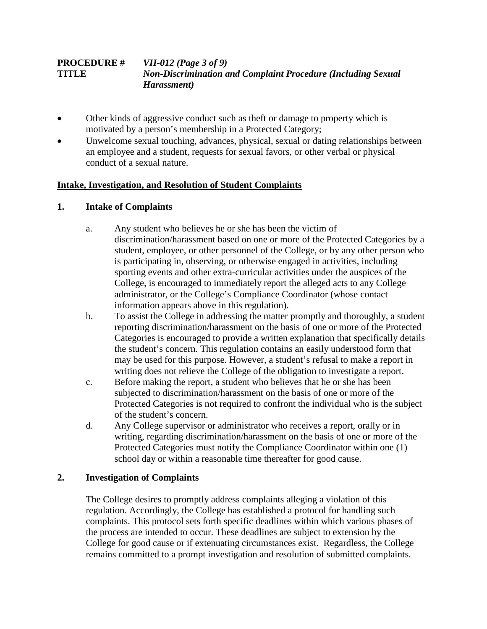#### **PROCEDURE #** *VII-012 (Page 3 of 9)* **TITLE** *Non-Discrimination and Complaint Procedure (Including Sexual Harassment)*

- Other kinds of aggressive conduct such as the ft or damage to property which is motivated by a person's membership in a Protected Category;
- Unwelcome sexual touching, advances, physical, sexual or dating relationships between an employee and a student, requests for sexual favors, or other verbal or physical conduct of a sexual nature.

## **Intake, Investigation, and Resolution of Student Complaints**

### **1. Intake of Complaints**

- a. Any student who believes he or she has been the victim of discrimination/harassment based on one or more of the Protected Categories by a student, employee, or other personnel of the College, or by any other person who is participating in, observing, or otherwise engaged in activities, including sporting events and other extra-curricular activities under the auspices of the College, is encouraged to immediately report the alleged acts to any College administrator, or the College's Compliance Coordinator (whose contact information appears above in this regulation).
- b. To assist the College in addressing the matter promptly and thoroughly, a student reporting discrimination/harassment on the basis of one or more of the Protected Categories is encouraged to provide a written explanation that specifically details the student's concern. This regulation contains an easily understood form that may be used for this purpose. However, a student's refusal to make a report in writing does not relieve the College of the obligation to investigate a report.
- c. Before making the report, a student who believes that he or she has been subjected to discrimination/harassment on the basis of one or more of the Protected Categories is not required to confront the individual who is the subject of the student's concern.
- d. Any College supervisor or administrator who receives a report, orally or in writing, regarding discrimination/harassment on the basis of one or more of the Protected Categories must notify the Compliance Coordinator within one (1) school day or within a reasonable time thereafter for good cause.

## **2. Investigation of Complaints**

The College desires to promptly address complaints alleging a violation of this regulation. Accordingly, the College has established a protocol for handling such complaints. This protocol sets forth specific deadlines within which various phases of the process are intended to occur. These deadlines are subject to extension by the College for good cause or if extenuating circumstances exist. Regardless, the College remains committed to a prompt investigation and resolution of submitted complaints.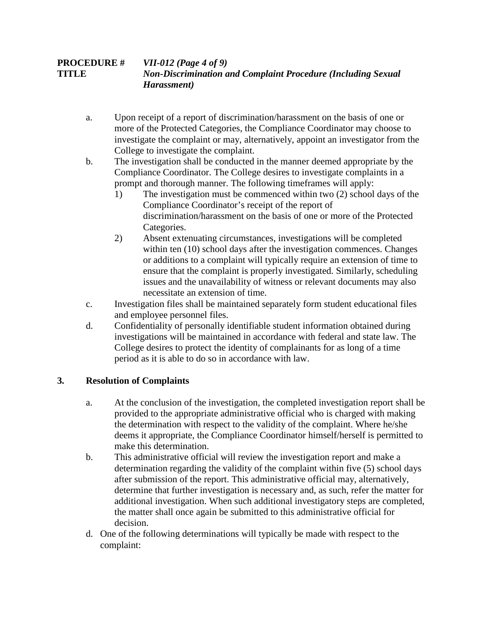## **PROCEDURE #** *VII-012 (Page 4 of 9)* **TITLE** *Non-Discrimination and Complaint Procedure (Including Sexual Harassment)*

- a. Upon receipt of a report of discrimination/harassment on the basis of one or more of the Protected Categories, the Compliance Coordinator may choose to investigate the complaint or may, alternatively, appoint an investigator from the College to investigate the complaint.
- b. The investigation shall be conducted in the manner deemed appropriate by the Compliance Coordinator. The College desires to investigate complaints in a prompt and thorough manner. The following timeframes will apply:
	- 1) The investigation must be commenced within two (2) school days of the Compliance Coordinator's receipt of the report of discrimination/harassment on the basis of one or more of the Protected Categories.
	- 2) Absent extenuating circumstances, investigations will be completed within ten (10) school days after the investigation commences. Changes or additions to a complaint will typically require an extension of time to ensure that the complaint is properly investigated. Similarly, scheduling issues and the unavailability of witness or relevant documents may also necessitate an extension of time.
- c. Investigation files shall be maintained separately form student educational files and employee personnel files.
- d. Confidentiality of personally identifiable student information obtained during investigations will be maintained in accordance with federal and state law. The College desires to protect the identity of complainants for as long of a time period as it is able to do so in accordance with law.

# **3. Resolution of Complaints**

- a. At the conclusion of the investigation, the completed investigation report shall be provided to the appropriate administrative official who is charged with making the determination with respect to the validity of the complaint. Where he/she deems it appropriate, the Compliance Coordinator himself/herself is permitted to make this determination.
- b. This administrative official will review the investigation report and make a determination regarding the validity of the complaint within five (5) school days after submission of the report. This administrative official may, alternatively, determine that further investigation is necessary and, as such, refer the matter for additional investigation. When such additional investigatory steps are completed, the matter shall once again be submitted to this administrative official for decision.
- d. One of the following determinations will typically be made with respect to the complaint: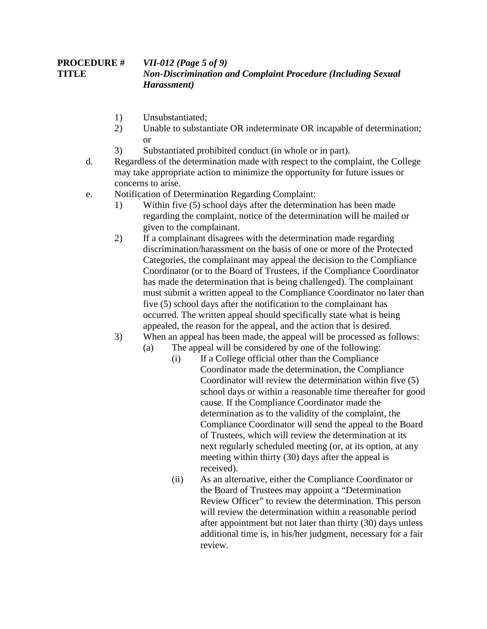#### **PROCEDURE #** *VII-012 (Page 5 of 9)* **TITLE** *Non-Discrimination and Complaint Procedure (Including Sexual Harassment)*

- 1) Unsubstantiated;
- 2) Unable to substantiate OR indeterminate OR incapable of determination; or
- 3) Substantiated prohibited conduct (in whole or in part).
- d. Regardless of the determination made with respect to the complaint, the College may take appropriate action to minimize the opportunity for future issues or concerns to arise.
- e. Notification of Determination Regarding Complaint:
	- 1) Within five (5) school days after the determination has been made regarding the complaint, notice of the determination will be mailed or given to the complainant.
	- 2) If a complainant disagrees with the determination made regarding discrimination/harassment on the basis of one or more of the Protected Categories, the complainant may appeal the decision to the Compliance Coordinator (or to the Board of Trustees, if the Compliance Coordinator has made the determination that is being challenged). The complainant must submit a written appeal to the Compliance Coordinator no later than five (5) school days after the notification to the complainant has occurred. The written appeal should specifically state what is being appealed, the reason for the appeal, and the action that is desired.
	- 3) When an appeal has been made, the appeal will be processed as follows:
		- (a) The appeal will be considered by one of the following:
			- (i) If a College official other than the Compliance Coordinator made the determination, the Compliance Coordinator will review the determination within five (5) school days or within a reasonable time thereafter for good cause. If the Compliance Coordinator made the determination as to the validity of the complaint, the Compliance Coordinator will send the appeal to the Board of Trustees, which will review the determination at its next regularly scheduled meeting (or, at its option, at any meeting within thirty (30) days after the appeal is received).
			- (ii) As an alternative, either the Compliance Coordinator or the Board of Trustees may appoint a "Determination Review Officer" to review the determination. This person will review the determination within a reasonable period after appointment but not later than thirty (30) days unless additional time is, in his/her judgment, necessary for a fair review.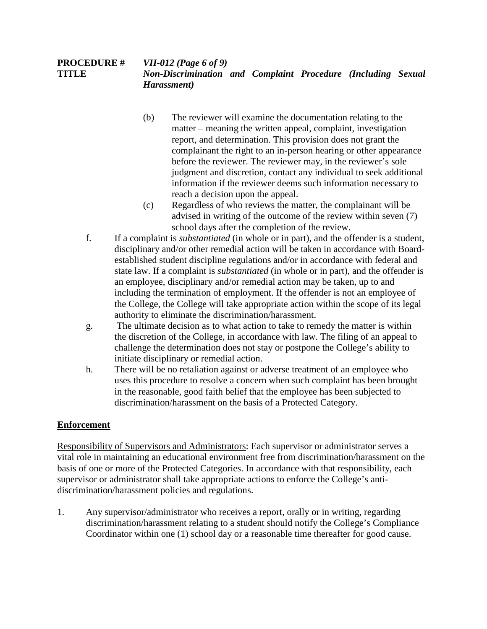#### **PROCEDURE #** *VII-012 (Page 6 of 9)* **TITLE** *Non-Discrimination and Complaint Procedure (Including Sexual Harassment)*

- (b) The reviewer will examine the documentation relating to the matter – meaning the written appeal, complaint, investigation report, and determination. This provision does not grant the complainant the right to an in-person hearing or other appearance before the reviewer. The reviewer may, in the reviewer's sole judgment and discretion, contact any individual to seek additional information if the reviewer deems such information necessary to reach a decision upon the appeal.
- (c) Regardless of who reviews the matter, the complainant will be advised in writing of the outcome of the review within seven (7) school days after the completion of the review.
- f. If a complaint is *substantiated* (in whole or in part), and the offender is a student, disciplinary and/or other remedial action will be taken in accordance with Boardestablished student discipline regulations and/or in accordance with federal and state law. If a complaint is *substantiated* (in whole or in part), and the offender is an employee, disciplinary and/or remedial action may be taken, up to and including the termination of employment. If the offender is not an employee of the College, the College will take appropriate action within the scope of its legal authority to eliminate the discrimination/harassment.
- g. The ultimate decision as to what action to take to remedy the matter is within the discretion of the College, in accordance with law. The filing of an appeal to challenge the determination does not stay or postpone the College's ability to initiate disciplinary or remedial action.
- h. There will be no retaliation against or adverse treatment of an employee who uses this procedure to resolve a concern when such complaint has been brought in the reasonable, good faith belief that the employee has been subjected to discrimination/harassment on the basis of a Protected Category.

# **Enforcement**

Responsibility of Supervisors and Administrators: Each supervisor or administrator serves a vital role in maintaining an educational environment free from discrimination/harassment on the basis of one or more of the Protected Categories. In accordance with that responsibility, each supervisor or administrator shall take appropriate actions to enforce the College's antidiscrimination/harassment policies and regulations.

1. Any supervisor/administrator who receives a report, orally or in writing, regarding discrimination/harassment relating to a student should notify the College's Compliance Coordinator within one (1) school day or a reasonable time thereafter for good cause.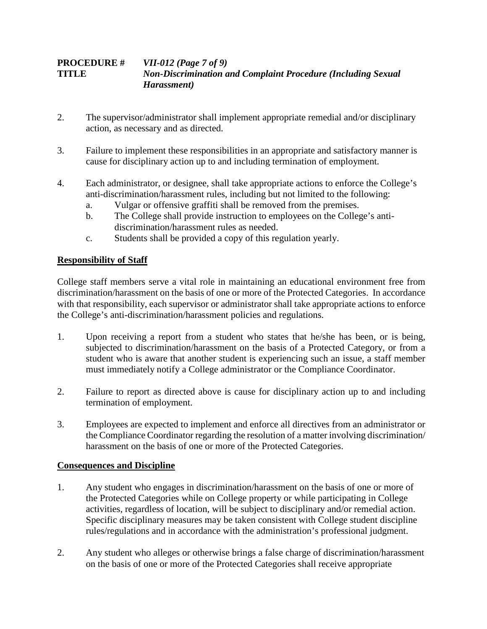## **PROCEDURE #** *VII-012 (Page 7 of 9)* **TITLE** *Non-Discrimination and Complaint Procedure (Including Sexual Harassment)*

- 2. The supervisor/administrator shall implement appropriate remedial and/or disciplinary action, as necessary and as directed.
- 3. Failure to implement these responsibilities in an appropriate and satisfactory manner is cause for disciplinary action up to and including termination of employment.
- 4. Each administrator, or designee, shall take appropriate actions to enforce the College's anti-discrimination/harassment rules, including but not limited to the following:
	- a. Vulgar or offensive graffiti shall be removed from the premises.
	- b. The College shall provide instruction to employees on the College's antidiscrimination/harassment rules as needed.
	- c. Students shall be provided a copy of this regulation yearly.

# **Responsibility of Staff**

College staff members serve a vital role in maintaining an educational environment free from discrimination/harassment on the basis of one or more of the Protected Categories. In accordance with that responsibility, each supervisor or administrator shall take appropriate actions to enforce the College's anti-discrimination/harassment policies and regulations.

- 1. Upon receiving a report from a student who states that he/she has been, or is being, subjected to discrimination/harassment on the basis of a Protected Category, or from a student who is aware that another student is experiencing such an issue, a staff member must immediately notify a College administrator or the Compliance Coordinator.
- 2. Failure to report as directed above is cause for disciplinary action up to and including termination of employment.
- 3. Employees are expected to implement and enforce all directives from an administrator or the Compliance Coordinator regarding the resolution of a matter involving discrimination/ harassment on the basis of one or more of the Protected Categories.

# **Consequences and Discipline**

- 1. Any student who engages in discrimination/harassment on the basis of one or more of the Protected Categories while on College property or while participating in College activities, regardless of location, will be subject to disciplinary and/or remedial action. Specific disciplinary measures may be taken consistent with College student discipline rules/regulations and in accordance with the administration's professional judgment.
- 2. Any student who alleges or otherwise brings a false charge of discrimination/harassment on the basis of one or more of the Protected Categories shall receive appropriate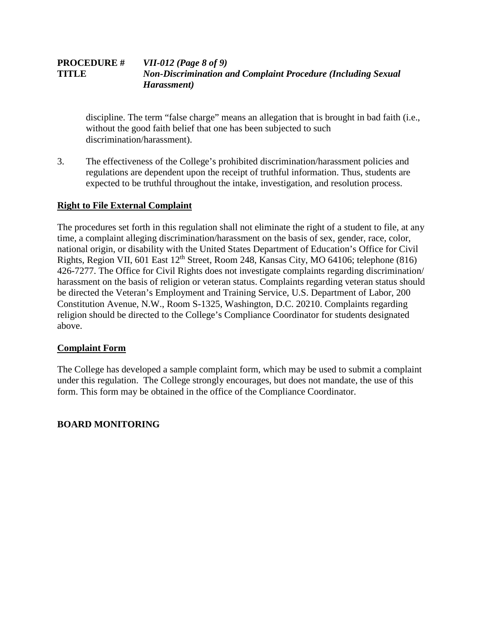#### **PROCEDURE #** *VII-012 (Page 8 of 9)* **TITLE** *Non-Discrimination and Complaint Procedure (Including Sexual Harassment)*

discipline. The term "false charge" means an allegation that is brought in bad faith (i.e., without the good faith belief that one has been subjected to such discrimination/harassment).

3. The effectiveness of the College's prohibited discrimination/harassment policies and regulations are dependent upon the receipt of truthful information. Thus, students are expected to be truthful throughout the intake, investigation, and resolution process.

# **Right to File External Complaint**

The procedures set forth in this regulation shall not eliminate the right of a student to file, at any time, a complaint alleging discrimination/harassment on the basis of sex, gender, race, color, national origin, or disability with the United States Department of Education's Office for Civil Rights, Region VII, 601 East 12th Street, Room 248, Kansas City, MO 64106; telephone (816) 426-7277. The Office for Civil Rights does not investigate complaints regarding discrimination/ harassment on the basis of religion or veteran status. Complaints regarding veteran status should be directed the Veteran's Employment and Training Service, U.S. Department of Labor, 200 Constitution Avenue, N.W., Room S-1325, Washington, D.C. 20210. Complaints regarding religion should be directed to the College's Compliance Coordinator for students designated above.

### **Complaint Form**

The College has developed a sample complaint form, which may be used to submit a complaint under this regulation. The College strongly encourages, but does not mandate, the use of this form. This form may be obtained in the office of the Compliance Coordinator.

# **BOARD MONITORING**